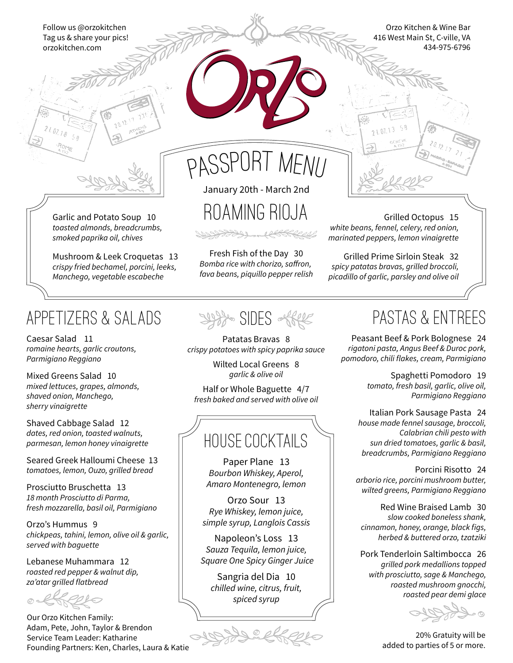Follow us @orzokitchen Tag us & share your pics! orzokitchen.com

Orzo Kitchen & Wine Bar 416 West Main St, C-ville, VA 434-975-6796



passport menu

roaming RIOJA

Fresh Fish of the Day 30 Bomba rice with chorizo, saffron, *fava beans, piquillo pepper relish*

January 20th - March 2nd

Garlic and Potato Soup 10 *toasted almonds, breadcrumbs, smoked paprika oil, chives*

Mushroom & Leek Croquetas 13 *crispy fried bechamel, porcini, leeks, Manchego, vegetable escabeche*

### appetizers & Salads

Caesar Salad 11 *romaine hearts, garlic croutons, Parmigiano Reggiano*

Mixed Greens Salad 10 *mixed lettuces, grapes, almonds, shaved onion, Manchego, sherry vinaigrette*

Shaved Cabbage Salad 12 *dates, red onion, toasted walnuts, parmesan, lemon honey vinaigrette*

Seared Greek Halloumi Cheese 13 *tomatoes, lemon, Ouzo, grilled bread*

Prosciutto Bruschetta 13 *18 month Prosciutto di Parma, fresh mozzarella, basil oil, Parmigiano*

Orzo's Hummus 9 *chickpeas, tahini, lemon, olive oil & garlic, served with baguette*

Lebanese Muhammara 12 *roasted red pepper & walnut dip, za'atar grilled flatbread*

Our Orzo Kitchen Family: Adam, Pete, John, Taylor & Brendon Service Team Leader: Katharine Founding Partners: Ken, Charles, Laura & Katie



Patatas Bravas 8 *crispy potatoes with spicy paprika sauce*

> Wilted Local Greens 8 *garlic & olive oil*

Half or Whole Baguette 4/7 *fresh baked and served with olive oil*

# HOUSE COCKTAILS

Paper Plane 13 *Bourbon Whiskey, Aperol, Amaro Montenegro, lemon*

Orzo Sour 13 *Rye Whiskey, lemon juice, simple syrup, Langlois Cassis*

Napoleon's Loss 13 *Sauza Tequila, lemon juice, Square One Spicy Ginger Juice*

Sangria del Dia 10 *chilled wine, citrus, fruit, spiced syrup*



# pastas & ENTREES

Grilled Octopus 15

*white beans, fennel, celery, red onion, marinated peppers, lemon vinaigrette*

ว 1 ก1 1 3

Grilled Prime Sirloin Steak 32 *spicy patatas bravas, grilled broccoli, picadillo of garlic, parsley and olive oil*

Peasant Beef & Pork Bolognese 24 *rigatoni pasta, Angus Beef & Duroc pork, pomodoro, chili flakes, cream, Parmigiano*

> Spaghetti Pomodoro 19 *tomato, fresh basil, garlic, olive oil, Parmigiano Reggiano*

Italian Pork Sausage Pasta 24 *house made fennel sausage, broccoli, Calabrian chili pesto with sun dried tomatoes, garlic & basil, breadcrumbs, Parmigiano Reggiano*

Porcini Risotto 24 *arborio rice, porcini mushroom butter, wilted greens, Parmigiano Reggiano*

Red Wine Braised Lamb 30 *slow cooked boneless shank, cinnamon, honey, orange, black figs, herbed & buttered orzo, tzatziki*

Pork Tenderloin Saltimbocca 26 *grilled pork medallions topped with prosciutto, sage & Manchego, roasted mushroom gnocchi, roasted pear demi glace*

20% Gratuity will be added to parties of 5 or more.